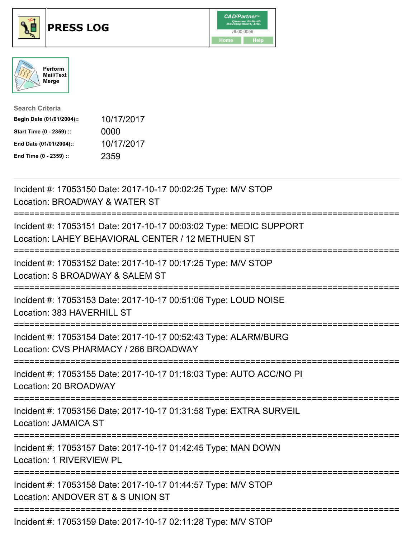

## **PRESS LOG** v8.00.0056





| <b>Search Criteria</b>    |            |
|---------------------------|------------|
| Begin Date (01/01/2004):: | 10/17/2017 |
| Start Time (0 - 2359) ::  | 0000       |
| End Date (01/01/2004)::   | 10/17/2017 |
| End Time (0 - 2359) ::    | 2359       |

Incident #: 17053150 Date: 2017-10-17 00:02:25 Type: M/V STOP Location: BROADWAY & WATER ST =========================================================================== Incident #: 17053151 Date: 2017-10-17 00:03:02 Type: MEDIC SUPPORT Location: LAHEY BEHAVIORAL CENTER / 12 METHUEN ST =========================================================================== Incident #: 17053152 Date: 2017-10-17 00:17:25 Type: M/V STOP Location: S BROADWAY & SALEM ST =========================================================================== Incident #: 17053153 Date: 2017-10-17 00:51:06 Type: LOUD NOISE Location: 383 HAVERHILL ST =========================================================================== Incident #: 17053154 Date: 2017-10-17 00:52:43 Type: ALARM/BURG Location: CVS PHARMACY / 266 BROADWAY =========================================================================== Incident #: 17053155 Date: 2017-10-17 01:18:03 Type: AUTO ACC/NO PI Location: 20 BROADWAY =========================================================================== Incident #: 17053156 Date: 2017-10-17 01:31:58 Type: EXTRA SURVEIL Location: JAMAICA ST =========================================================================== Incident #: 17053157 Date: 2017-10-17 01:42:45 Type: MAN DOWN Location: 1 RIVERVIEW PL =========================================================================== Incident #: 17053158 Date: 2017-10-17 01:44:57 Type: M/V STOP Location: ANDOVER ST & S UNION ST =========================================================================== Incident #: 17053159 Date: 2017-10-17 02:11:28 Type: M/V STOP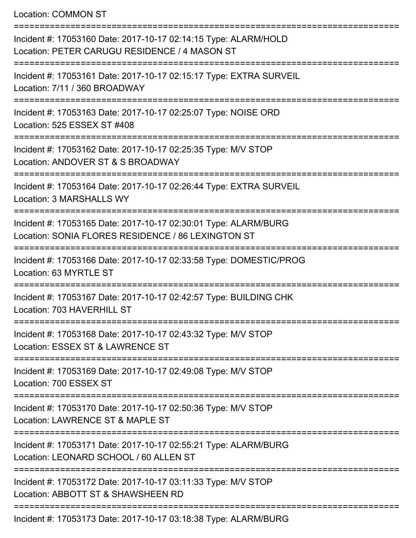Location: COMMON ST

| Incident #: 17053160 Date: 2017-10-17 02:14:15 Type: ALARM/HOLD<br>Location: PETER CARUGU RESIDENCE / 4 MASON ST      |
|-----------------------------------------------------------------------------------------------------------------------|
| Incident #: 17053161 Date: 2017-10-17 02:15:17 Type: EXTRA SURVEIL<br>Location: 7/11 / 360 BROADWAY                   |
| Incident #: 17053163 Date: 2017-10-17 02:25:07 Type: NOISE ORD<br>Location: 525 ESSEX ST #408                         |
| Incident #: 17053162 Date: 2017-10-17 02:25:35 Type: M/V STOP<br>Location: ANDOVER ST & S BROADWAY                    |
| Incident #: 17053164 Date: 2017-10-17 02:26:44 Type: EXTRA SURVEIL<br><b>Location: 3 MARSHALLS WY</b>                 |
| Incident #: 17053165 Date: 2017-10-17 02:30:01 Type: ALARM/BURG<br>Location: SONIA FLORES RESIDENCE / 86 LEXINGTON ST |
| Incident #: 17053166 Date: 2017-10-17 02:33:58 Type: DOMESTIC/PROG<br>Location: 63 MYRTLE ST                          |
| Incident #: 17053167 Date: 2017-10-17 02:42:57 Type: BUILDING CHK<br>Location: 703 HAVERHILL ST                       |
| Incident #: 17053168 Date: 2017-10-17 02:43:32 Type: M/V STOP<br>Location: ESSEX ST & LAWRENCE ST                     |
| Incident #: 17053169 Date: 2017-10-17 02:49:08 Type: M/V STOP<br>Location: 700 ESSEX ST                               |
| Incident #: 17053170 Date: 2017-10-17 02:50:36 Type: M/V STOP<br>Location: LAWRENCE ST & MAPLE ST                     |
| Incident #: 17053171 Date: 2017-10-17 02:55:21 Type: ALARM/BURG<br>Location: LEONARD SCHOOL / 60 ALLEN ST             |
| Incident #: 17053172 Date: 2017-10-17 03:11:33 Type: M/V STOP<br>Location: ABBOTT ST & SHAWSHEEN RD                   |
| Incident #: 17053173 Date: 2017-10-17 03:18:38 Type: ALARM/BURG                                                       |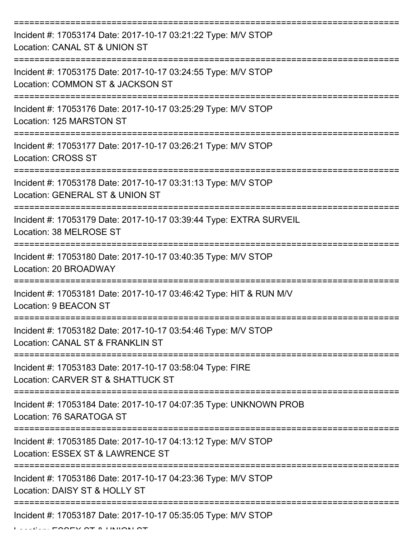| Incident #: 17053174 Date: 2017-10-17 03:21:22 Type: M/V STOP<br>Location: CANAL ST & UNION ST                        |
|-----------------------------------------------------------------------------------------------------------------------|
| Incident #: 17053175 Date: 2017-10-17 03:24:55 Type: M/V STOP<br>Location: COMMON ST & JACKSON ST                     |
| Incident #: 17053176 Date: 2017-10-17 03:25:29 Type: M/V STOP<br>Location: 125 MARSTON ST                             |
| Incident #: 17053177 Date: 2017-10-17 03:26:21 Type: M/V STOP<br><b>Location: CROSS ST</b>                            |
| Incident #: 17053178 Date: 2017-10-17 03:31:13 Type: M/V STOP<br>Location: GENERAL ST & UNION ST                      |
| Incident #: 17053179 Date: 2017-10-17 03:39:44 Type: EXTRA SURVEIL<br>Location: 38 MELROSE ST                         |
| Incident #: 17053180 Date: 2017-10-17 03:40:35 Type: M/V STOP<br>Location: 20 BROADWAY                                |
| Incident #: 17053181 Date: 2017-10-17 03:46:42 Type: HIT & RUN M/V<br>Location: 9 BEACON ST                           |
| Incident #: 17053182 Date: 2017-10-17 03:54:46 Type: M/V STOP<br>Location: CANAL ST & FRANKLIN ST                     |
| Incident #: 17053183 Date: 2017-10-17 03:58:04 Type: FIRE<br>Location: CARVER ST & SHATTUCK ST<br>------------------- |
| Incident #: 17053184 Date: 2017-10-17 04:07:35 Type: UNKNOWN PROB<br>Location: 76 SARATOGA ST                         |
| Incident #: 17053185 Date: 2017-10-17 04:13:12 Type: M/V STOP<br>Location: ESSEX ST & LAWRENCE ST                     |
| Incident #: 17053186 Date: 2017-10-17 04:23:36 Type: M/V STOP<br>Location: DAISY ST & HOLLY ST                        |
| Incident #: 17053187 Date: 2017-10-17 05:35:05 Type: M/V STOP                                                         |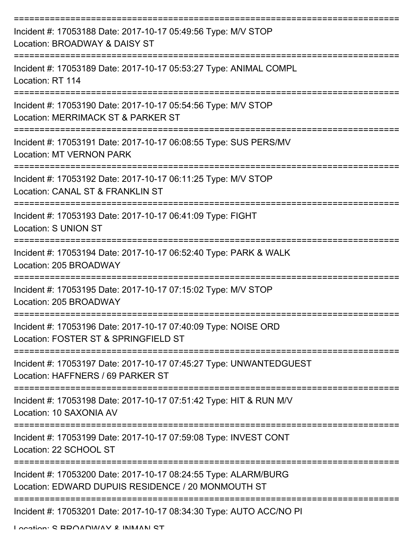| Incident #: 17053188 Date: 2017-10-17 05:49:56 Type: M/V STOP<br>Location: BROADWAY & DAISY ST                        |
|-----------------------------------------------------------------------------------------------------------------------|
| Incident #: 17053189 Date: 2017-10-17 05:53:27 Type: ANIMAL COMPL<br>Location: RT 114                                 |
| Incident #: 17053190 Date: 2017-10-17 05:54:56 Type: M/V STOP<br>Location: MERRIMACK ST & PARKER ST                   |
| Incident #: 17053191 Date: 2017-10-17 06:08:55 Type: SUS PERS/MV<br><b>Location: MT VERNON PARK</b>                   |
| Incident #: 17053192 Date: 2017-10-17 06:11:25 Type: M/V STOP<br>Location: CANAL ST & FRANKLIN ST                     |
| =================<br>Incident #: 17053193 Date: 2017-10-17 06:41:09 Type: FIGHT<br>Location: S UNION ST               |
| Incident #: 17053194 Date: 2017-10-17 06:52:40 Type: PARK & WALK<br>Location: 205 BROADWAY                            |
| Incident #: 17053195 Date: 2017-10-17 07:15:02 Type: M/V STOP<br>Location: 205 BROADWAY                               |
| Incident #: 17053196 Date: 2017-10-17 07:40:09 Type: NOISE ORD<br>Location: FOSTER ST & SPRINGFIELD ST                |
| Incident #: 17053197 Date: 2017-10-17 07:45:27 Type: UNWANTEDGUEST<br>Location: HAFFNERS / 69 PARKER ST               |
| Incident #: 17053198 Date: 2017-10-17 07:51:42 Type: HIT & RUN M/V<br>Location: 10 SAXONIA AV                         |
| Incident #: 17053199 Date: 2017-10-17 07:59:08 Type: INVEST CONT<br>Location: 22 SCHOOL ST                            |
| Incident #: 17053200 Date: 2017-10-17 08:24:55 Type: ALARM/BURG<br>Location: EDWARD DUPUIS RESIDENCE / 20 MONMOUTH ST |
| Incident #: 17053201 Date: 2017-10-17 08:34:30 Type: AUTO ACC/NO PI                                                   |

Location: C DDOADWAV & INMANI CT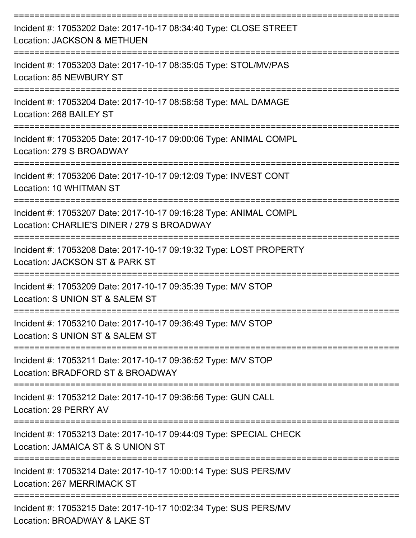| Incident #: 17053202 Date: 2017-10-17 08:34:40 Type: CLOSE STREET<br>Location: JACKSON & METHUEN                               |
|--------------------------------------------------------------------------------------------------------------------------------|
| Incident #: 17053203 Date: 2017-10-17 08:35:05 Type: STOL/MV/PAS<br>Location: 85 NEWBURY ST                                    |
| Incident #: 17053204 Date: 2017-10-17 08:58:58 Type: MAL DAMAGE<br>Location: 268 BAILEY ST                                     |
| Incident #: 17053205 Date: 2017-10-17 09:00:06 Type: ANIMAL COMPL<br>Location: 279 S BROADWAY                                  |
| Incident #: 17053206 Date: 2017-10-17 09:12:09 Type: INVEST CONT<br>Location: 10 WHITMAN ST                                    |
| Incident #: 17053207 Date: 2017-10-17 09:16:28 Type: ANIMAL COMPL<br>Location: CHARLIE'S DINER / 279 S BROADWAY                |
| ----------------------<br>Incident #: 17053208 Date: 2017-10-17 09:19:32 Type: LOST PROPERTY<br>Location: JACKSON ST & PARK ST |
| Incident #: 17053209 Date: 2017-10-17 09:35:39 Type: M/V STOP<br>Location: S UNION ST & SALEM ST                               |
| Incident #: 17053210 Date: 2017-10-17 09:36:49 Type: M/V STOP<br>Location: S UNION ST & SALEM ST                               |
| Incident #: 17053211 Date: 2017-10-17 09:36:52 Type: M/V STOP<br>Location: BRADFORD ST & BROADWAY                              |
| Incident #: 17053212 Date: 2017-10-17 09:36:56 Type: GUN CALL<br>Location: 29 PERRY AV                                         |
| =================<br>Incident #: 17053213 Date: 2017-10-17 09:44:09 Type: SPECIAL CHECK<br>Location: JAMAICA ST & S UNION ST   |
| Incident #: 17053214 Date: 2017-10-17 10:00:14 Type: SUS PERS/MV<br><b>Location: 267 MERRIMACK ST</b>                          |
| Incident #: 17053215 Date: 2017-10-17 10:02:34 Type: SUS PERS/MV<br>Location: BROADWAY & LAKE ST                               |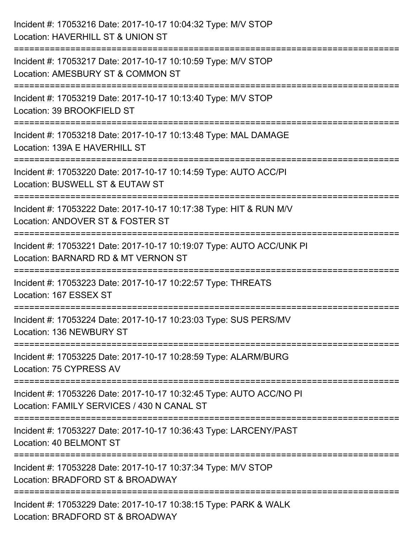| Incident #: 17053216 Date: 2017-10-17 10:04:32 Type: M/V STOP<br>Location: HAVERHILL ST & UNION ST                                     |
|----------------------------------------------------------------------------------------------------------------------------------------|
| ;===============================<br>Incident #: 17053217 Date: 2017-10-17 10:10:59 Type: M/V STOP<br>Location: AMESBURY ST & COMMON ST |
| Incident #: 17053219 Date: 2017-10-17 10:13:40 Type: M/V STOP<br>Location: 39 BROOKFIELD ST                                            |
| Incident #: 17053218 Date: 2017-10-17 10:13:48 Type: MAL DAMAGE<br>Location: 139A E HAVERHILL ST                                       |
| Incident #: 17053220 Date: 2017-10-17 10:14:59 Type: AUTO ACC/PI<br>Location: BUSWELL ST & EUTAW ST                                    |
| Incident #: 17053222 Date: 2017-10-17 10:17:38 Type: HIT & RUN M/V<br>Location: ANDOVER ST & FOSTER ST                                 |
| Incident #: 17053221 Date: 2017-10-17 10:19:07 Type: AUTO ACC/UNK PI<br>Location: BARNARD RD & MT VERNON ST                            |
| Incident #: 17053223 Date: 2017-10-17 10:22:57 Type: THREATS<br>Location: 167 ESSEX ST                                                 |
| Incident #: 17053224 Date: 2017-10-17 10:23:03 Type: SUS PERS/MV<br>Location: 136 NEWBURY ST                                           |
| Incident #: 17053225 Date: 2017-10-17 10:28:59 Type: ALARM/BURG<br>Location: 75 CYPRESS AV                                             |
| Incident #: 17053226 Date: 2017-10-17 10:32:45 Type: AUTO ACC/NO PI<br>Location: FAMILY SERVICES / 430 N CANAL ST                      |
| Incident #: 17053227 Date: 2017-10-17 10:36:43 Type: LARCENY/PAST<br>Location: 40 BELMONT ST                                           |
| Incident #: 17053228 Date: 2017-10-17 10:37:34 Type: M/V STOP<br>Location: BRADFORD ST & BROADWAY                                      |
| Incident #: 17053229 Date: 2017-10-17 10:38:15 Type: PARK & WALK<br>Location: BRADFORD ST & BROADWAY                                   |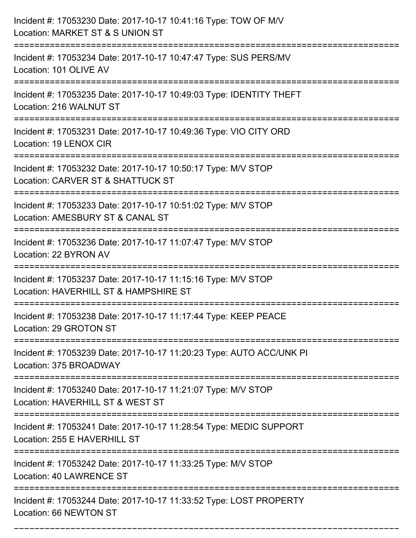| Incident #: 17053230 Date: 2017-10-17 10:41:16 Type: TOW OF M/V<br>Location: MARKET ST & S UNION ST                                 |
|-------------------------------------------------------------------------------------------------------------------------------------|
| Incident #: 17053234 Date: 2017-10-17 10:47:47 Type: SUS PERS/MV<br>Location: 101 OLIVE AV                                          |
| Incident #: 17053235 Date: 2017-10-17 10:49:03 Type: IDENTITY THEFT<br>Location: 216 WALNUT ST                                      |
| Incident #: 17053231 Date: 2017-10-17 10:49:36 Type: VIO CITY ORD<br>Location: 19 LENOX CIR                                         |
| Incident #: 17053232 Date: 2017-10-17 10:50:17 Type: M/V STOP<br>Location: CARVER ST & SHATTUCK ST<br>----------------              |
| Incident #: 17053233 Date: 2017-10-17 10:51:02 Type: M/V STOP<br>Location: AMESBURY ST & CANAL ST                                   |
| Incident #: 17053236 Date: 2017-10-17 11:07:47 Type: M/V STOP<br>Location: 22 BYRON AV                                              |
| Incident #: 17053237 Date: 2017-10-17 11:15:16 Type: M/V STOP<br>Location: HAVERHILL ST & HAMPSHIRE ST                              |
| Incident #: 17053238 Date: 2017-10-17 11:17:44 Type: KEEP PEACE<br>Location: 29 GROTON ST                                           |
| Incident #: 17053239 Date: 2017-10-17 11:20:23 Type: AUTO ACC/UNK PI<br>Location: 375 BROADWAY                                      |
| ------------------------------<br>Incident #: 17053240 Date: 2017-10-17 11:21:07 Type: M/V STOP<br>Location: HAVERHILL ST & WEST ST |
| Incident #: 17053241 Date: 2017-10-17 11:28:54 Type: MEDIC SUPPORT<br>Location: 255 E HAVERHILL ST                                  |
| Incident #: 17053242 Date: 2017-10-17 11:33:25 Type: M/V STOP<br>Location: 40 LAWRENCE ST                                           |
| Incident #: 17053244 Date: 2017-10-17 11:33:52 Type: LOST PROPERTY<br>Location: 66 NEWTON ST                                        |

===========================================================================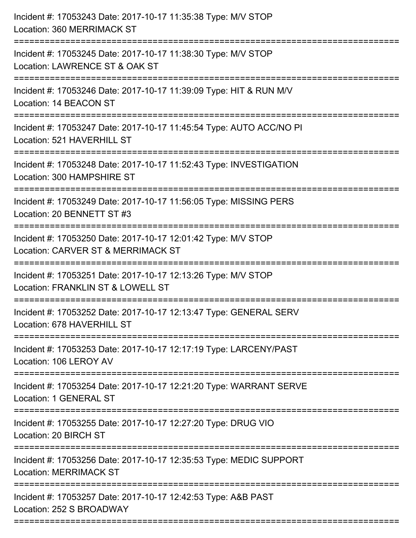| Incident #: 17053243 Date: 2017-10-17 11:35:38 Type: M/V STOP<br>Location: 360 MERRIMACK ST         |
|-----------------------------------------------------------------------------------------------------|
| Incident #: 17053245 Date: 2017-10-17 11:38:30 Type: M/V STOP<br>Location: LAWRENCE ST & OAK ST     |
| Incident #: 17053246 Date: 2017-10-17 11:39:09 Type: HIT & RUN M/V<br>Location: 14 BEACON ST        |
| Incident #: 17053247 Date: 2017-10-17 11:45:54 Type: AUTO ACC/NO PI<br>Location: 521 HAVERHILL ST   |
| Incident #: 17053248 Date: 2017-10-17 11:52:43 Type: INVESTIGATION<br>Location: 300 HAMPSHIRE ST    |
| Incident #: 17053249 Date: 2017-10-17 11:56:05 Type: MISSING PERS<br>Location: 20 BENNETT ST #3     |
| Incident #: 17053250 Date: 2017-10-17 12:01:42 Type: M/V STOP<br>Location: CARVER ST & MERRIMACK ST |
| Incident #: 17053251 Date: 2017-10-17 12:13:26 Type: M/V STOP<br>Location: FRANKLIN ST & LOWELL ST  |
| Incident #: 17053252 Date: 2017-10-17 12:13:47 Type: GENERAL SERV<br>Location: 678 HAVERHILL ST     |
| Incident #: 17053253 Date: 2017-10-17 12:17:19 Type: LARCENY/PAST<br>Location: 106 LEROY AV         |
| Incident #: 17053254 Date: 2017-10-17 12:21:20 Type: WARRANT SERVE<br>Location: 1 GENERAL ST        |
| Incident #: 17053255 Date: 2017-10-17 12:27:20 Type: DRUG VIO<br>Location: 20 BIRCH ST              |
| Incident #: 17053256 Date: 2017-10-17 12:35:53 Type: MEDIC SUPPORT<br><b>Location: MERRIMACK ST</b> |
| Incident #: 17053257 Date: 2017-10-17 12:42:53 Type: A&B PAST<br>Location: 252 S BROADWAY           |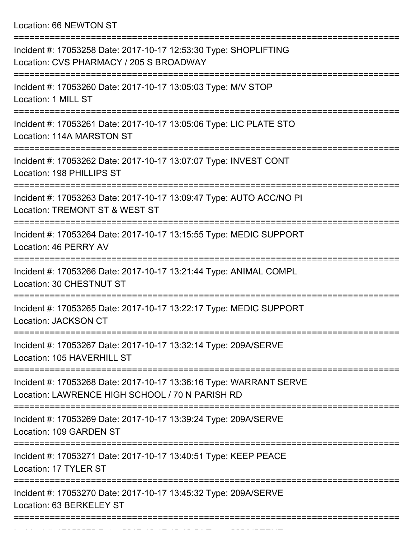Location: 66 NEWTON ST

| Incident #: 17053258 Date: 2017-10-17 12:53:30 Type: SHOPLIFTING<br>Location: CVS PHARMACY / 205 S BROADWAY           |
|-----------------------------------------------------------------------------------------------------------------------|
| Incident #: 17053260 Date: 2017-10-17 13:05:03 Type: M/V STOP<br>Location: 1 MILL ST                                  |
| Incident #: 17053261 Date: 2017-10-17 13:05:06 Type: LIC PLATE STO<br>Location: 114A MARSTON ST                       |
| Incident #: 17053262 Date: 2017-10-17 13:07:07 Type: INVEST CONT<br>Location: 198 PHILLIPS ST<br>===================  |
| Incident #: 17053263 Date: 2017-10-17 13:09:47 Type: AUTO ACC/NO PI<br>Location: TREMONT ST & WEST ST                 |
| Incident #: 17053264 Date: 2017-10-17 13:15:55 Type: MEDIC SUPPORT<br>Location: 46 PERRY AV                           |
| Incident #: 17053266 Date: 2017-10-17 13:21:44 Type: ANIMAL COMPL<br>Location: 30 CHESTNUT ST                         |
| Incident #: 17053265 Date: 2017-10-17 13:22:17 Type: MEDIC SUPPORT<br>Location: JACKSON CT                            |
| Incident #: 17053267 Date: 2017-10-17 13:32:14 Type: 209A/SERVE<br>Location: 105 HAVERHILL ST                         |
| Incident #: 17053268 Date: 2017-10-17 13:36:16 Type: WARRANT SERVE<br>Location: LAWRENCE HIGH SCHOOL / 70 N PARISH RD |
| Incident #: 17053269 Date: 2017-10-17 13:39:24 Type: 209A/SERVE<br>Location: 109 GARDEN ST                            |
| Incident #: 17053271 Date: 2017-10-17 13:40:51 Type: KEEP PEACE<br>Location: 17 TYLER ST                              |
| Incident #: 17053270 Date: 2017-10-17 13:45:32 Type: 209A/SERVE<br>Location: 63 BERKELEY ST                           |
|                                                                                                                       |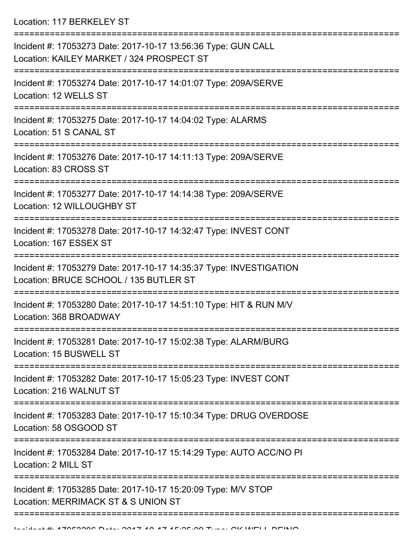Location: 117 BERKELEY ST

| Incident #: 17053273 Date: 2017-10-17 13:56:36 Type: GUN CALL<br>Location: KAILEY MARKET / 324 PROSPECT ST             |
|------------------------------------------------------------------------------------------------------------------------|
| Incident #: 17053274 Date: 2017-10-17 14:01:07 Type: 209A/SERVE<br>Location: 12 WELLS ST                               |
| Incident #: 17053275 Date: 2017-10-17 14:04:02 Type: ALARMS<br>Location: 51 S CANAL ST                                 |
| Incident #: 17053276 Date: 2017-10-17 14:11:13 Type: 209A/SERVE<br>Location: 83 CROSS ST                               |
| Incident #: 17053277 Date: 2017-10-17 14:14:38 Type: 209A/SERVE<br>Location: 12 WILLOUGHBY ST                          |
| Incident #: 17053278 Date: 2017-10-17 14:32:47 Type: INVEST CONT<br>Location: 167 ESSEX ST                             |
| Incident #: 17053279 Date: 2017-10-17 14:35:37 Type: INVESTIGATION<br>Location: BRUCE SCHOOL / 135 BUTLER ST           |
| Incident #: 17053280 Date: 2017-10-17 14:51:10 Type: HIT & RUN M/V<br>Location: 368 BROADWAY                           |
| Incident #: 17053281 Date: 2017-10-17 15:02:38 Type: ALARM/BURG<br>Location: 15 BUSWELL ST                             |
| Incident #: 17053282 Date: 2017-10-17 15:05:23 Type: INVEST CONT<br>Location: 216 WALNUT ST                            |
| Incident #: 17053283 Date: 2017-10-17 15:10:34 Type: DRUG OVERDOSE<br>Location: 58 OSGOOD ST                           |
| ------------------------<br>Incident #: 17053284 Date: 2017-10-17 15:14:29 Type: AUTO ACC/NO PI<br>Location: 2 MILL ST |
| Incident #: 17053285 Date: 2017-10-17 15:20:09 Type: M/V STOP<br>Location: MERRIMACK ST & S UNION ST                   |
|                                                                                                                        |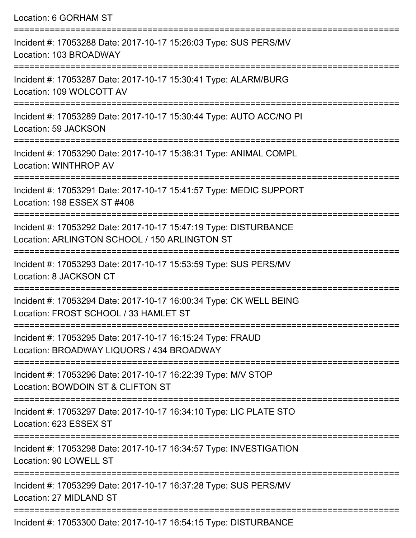Location: 6 GORHAM ST =========================================================================== Incident #: 17053288 Date: 2017-10-17 15:26:03 Type: SUS PERS/MV Location: 103 BROADWAY =========================================================================== Incident #: 17053287 Date: 2017-10-17 15:30:41 Type: ALARM/BURG Location: 109 WOLCOTT AV =========================================================================== Incident #: 17053289 Date: 2017-10-17 15:30:44 Type: AUTO ACC/NO PI Location: 59 JACKSON =========================================================================== Incident #: 17053290 Date: 2017-10-17 15:38:31 Type: ANIMAL COMPL Location: WINTHROP AV =========================================================================== Incident #: 17053291 Date: 2017-10-17 15:41:57 Type: MEDIC SUPPORT Location: 198 ESSEX ST #408 =========================================================================== Incident #: 17053292 Date: 2017-10-17 15:47:19 Type: DISTURBANCE Location: ARLINGTON SCHOOL / 150 ARLINGTON ST =========================================================================== Incident #: 17053293 Date: 2017-10-17 15:53:59 Type: SUS PERS/MV Location: 8 JACKSON CT =========================================================================== Incident #: 17053294 Date: 2017-10-17 16:00:34 Type: CK WELL BEING Location: FROST SCHOOL / 33 HAMLET ST =========================================================================== Incident #: 17053295 Date: 2017-10-17 16:15:24 Type: FRAUD Location: BROADWAY LIQUORS / 434 BROADWAY =========================================================================== Incident #: 17053296 Date: 2017-10-17 16:22:39 Type: M/V STOP Location: BOWDOIN ST & CLIFTON ST =========================================================================== Incident #: 17053297 Date: 2017-10-17 16:34:10 Type: LIC PLATE STO Location: 623 ESSEX ST =========================================================================== Incident #: 17053298 Date: 2017-10-17 16:34:57 Type: INVESTIGATION Location: 90 LOWELL ST =========================================================================== Incident #: 17053299 Date: 2017-10-17 16:37:28 Type: SUS PERS/MV Location: 27 MIDLAND ST ===========================================================================

Incident #: 17053300 Date: 2017-10-17 16:54:15 Type: DISTURBANCE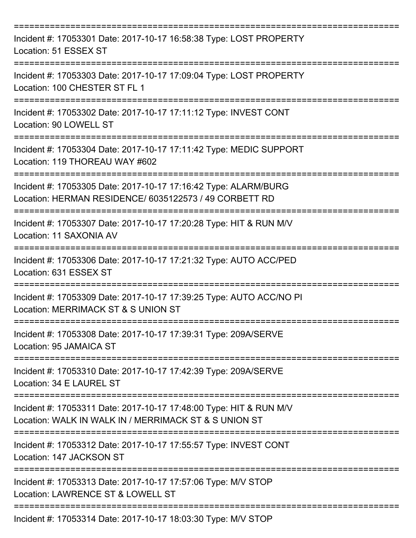| Incident #: 17053301 Date: 2017-10-17 16:58:38 Type: LOST PROPERTY<br>Location: 51 ESSEX ST                                                                         |
|---------------------------------------------------------------------------------------------------------------------------------------------------------------------|
| Incident #: 17053303 Date: 2017-10-17 17:09:04 Type: LOST PROPERTY<br>Location: 100 CHESTER ST FL 1                                                                 |
| Incident #: 17053302 Date: 2017-10-17 17:11:12 Type: INVEST CONT<br>Location: 90 LOWELL ST                                                                          |
| Incident #: 17053304 Date: 2017-10-17 17:11:42 Type: MEDIC SUPPORT<br>Location: 119 THOREAU WAY #602                                                                |
| Incident #: 17053305 Date: 2017-10-17 17:16:42 Type: ALARM/BURG<br>Location: HERMAN RESIDENCE/ 6035122573 / 49 CORBETT RD<br>===================<br>.-------------- |
| Incident #: 17053307 Date: 2017-10-17 17:20:28 Type: HIT & RUN M/V<br>Location: 11 SAXONIA AV                                                                       |
| Incident #: 17053306 Date: 2017-10-17 17:21:32 Type: AUTO ACC/PED<br>Location: 631 ESSEX ST                                                                         |
| Incident #: 17053309 Date: 2017-10-17 17:39:25 Type: AUTO ACC/NO PI<br>Location: MERRIMACK ST & S UNION ST                                                          |
| ---------------<br>Incident #: 17053308 Date: 2017-10-17 17:39:31 Type: 209A/SERVE<br>Location: 95 JAMAICA ST                                                       |
| Incident #: 17053310 Date: 2017-10-17 17:42:39 Type: 209A/SERVE<br>Location: 34 E LAUREL ST                                                                         |
| Incident #: 17053311 Date: 2017-10-17 17:48:00 Type: HIT & RUN M/V<br>Location: WALK IN WALK IN / MERRIMACK ST & S UNION ST                                         |
| Incident #: 17053312 Date: 2017-10-17 17:55:57 Type: INVEST CONT<br>Location: 147 JACKSON ST                                                                        |
| Incident #: 17053313 Date: 2017-10-17 17:57:06 Type: M/V STOP<br>Location: LAWRENCE ST & LOWELL ST                                                                  |
| Incident #: 17053314 Date: 2017-10-17 18:03:30 Type: M/V STOP                                                                                                       |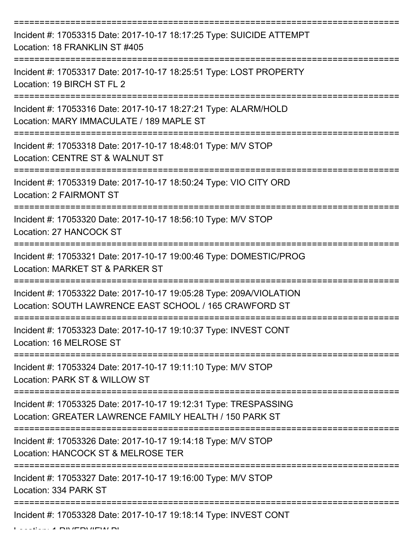| Incident #: 17053315 Date: 2017-10-17 18:17:25 Type: SUICIDE ATTEMPT<br>Location: 18 FRANKLIN ST #405                         |
|-------------------------------------------------------------------------------------------------------------------------------|
| Incident #: 17053317 Date: 2017-10-17 18:25:51 Type: LOST PROPERTY<br>Location: 19 BIRCH ST FL 2                              |
| Incident #: 17053316 Date: 2017-10-17 18:27:21 Type: ALARM/HOLD<br>Location: MARY IMMACULATE / 189 MAPLE ST                   |
| Incident #: 17053318 Date: 2017-10-17 18:48:01 Type: M/V STOP<br>Location: CENTRE ST & WALNUT ST                              |
| Incident #: 17053319 Date: 2017-10-17 18:50:24 Type: VIO CITY ORD<br><b>Location: 2 FAIRMONT ST</b>                           |
| Incident #: 17053320 Date: 2017-10-17 18:56:10 Type: M/V STOP<br>Location: 27 HANCOCK ST                                      |
| Incident #: 17053321 Date: 2017-10-17 19:00:46 Type: DOMESTIC/PROG<br>Location: MARKET ST & PARKER ST                         |
| Incident #: 17053322 Date: 2017-10-17 19:05:28 Type: 209A/VIOLATION<br>Location: SOUTH LAWRENCE EAST SCHOOL / 165 CRAWFORD ST |
| Incident #: 17053323 Date: 2017-10-17 19:10:37 Type: INVEST CONT<br>Location: 16 MELROSE ST                                   |
| Incident #: 17053324 Date: 2017-10-17 19:11:10 Type: M/V STOP<br>Location: PARK ST & WILLOW ST                                |
| Incident #: 17053325 Date: 2017-10-17 19:12:31 Type: TRESPASSING<br>Location: GREATER LAWRENCE FAMILY HEALTH / 150 PARK ST    |
| Incident #: 17053326 Date: 2017-10-17 19:14:18 Type: M/V STOP<br>Location: HANCOCK ST & MELROSE TER                           |
| Incident #: 17053327 Date: 2017-10-17 19:16:00 Type: M/V STOP<br>Location: 334 PARK ST                                        |
| Incident #: 17053328 Date: 2017-10-17 19:18:14 Type: INVEST CONT                                                              |

Location: 1 RIVERVIEW PL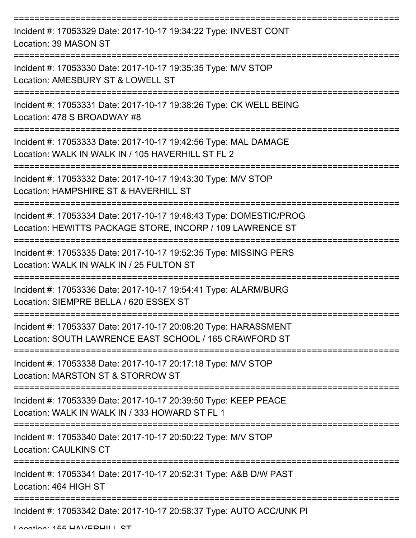| Incident #: 17053329 Date: 2017-10-17 19:34:22 Type: INVEST CONT<br>Location: 39 MASON ST                                       |
|---------------------------------------------------------------------------------------------------------------------------------|
| Incident #: 17053330 Date: 2017-10-17 19:35:35 Type: M/V STOP<br>Location: AMESBURY ST & LOWELL ST                              |
| Incident #: 17053331 Date: 2017-10-17 19:38:26 Type: CK WELL BEING<br>Location: 478 S BROADWAY #8                               |
| Incident #: 17053333 Date: 2017-10-17 19:42:56 Type: MAL DAMAGE<br>Location: WALK IN WALK IN / 105 HAVERHILL ST FL 2            |
| Incident #: 17053332 Date: 2017-10-17 19:43:30 Type: M/V STOP<br>Location: HAMPSHIRE ST & HAVERHILL ST                          |
| Incident #: 17053334 Date: 2017-10-17 19:48:43 Type: DOMESTIC/PROG<br>Location: HEWITTS PACKAGE STORE, INCORP / 109 LAWRENCE ST |
| Incident #: 17053335 Date: 2017-10-17 19:52:35 Type: MISSING PERS<br>Location: WALK IN WALK IN / 25 FULTON ST                   |
| Incident #: 17053336 Date: 2017-10-17 19:54:41 Type: ALARM/BURG<br>Location: SIEMPRE BELLA / 620 ESSEX ST                       |
| Incident #: 17053337 Date: 2017-10-17 20:08:20 Type: HARASSMENT<br>Location: SOUTH LAWRENCE EAST SCHOOL / 165 CRAWFORD ST       |
| Incident #: 17053338 Date: 2017-10-17 20:17:18 Type: M/V STOP<br>Location: MARSTON ST & STORROW ST                              |
| Incident #: 17053339 Date: 2017-10-17 20:39:50 Type: KEEP PEACE<br>Location: WALK IN WALK IN / 333 HOWARD ST FL 1               |
| Incident #: 17053340 Date: 2017-10-17 20:50:22 Type: M/V STOP<br><b>Location: CAULKINS CT</b>                                   |
| Incident #: 17053341 Date: 2017-10-17 20:52:31 Type: A&B D/W PAST<br>Location: 464 HIGH ST                                      |
| Incident #: 17053342 Date: 2017-10-17 20:58:37 Type: AUTO ACC/UNK PI                                                            |

Location: 155 HAVERHILL ST